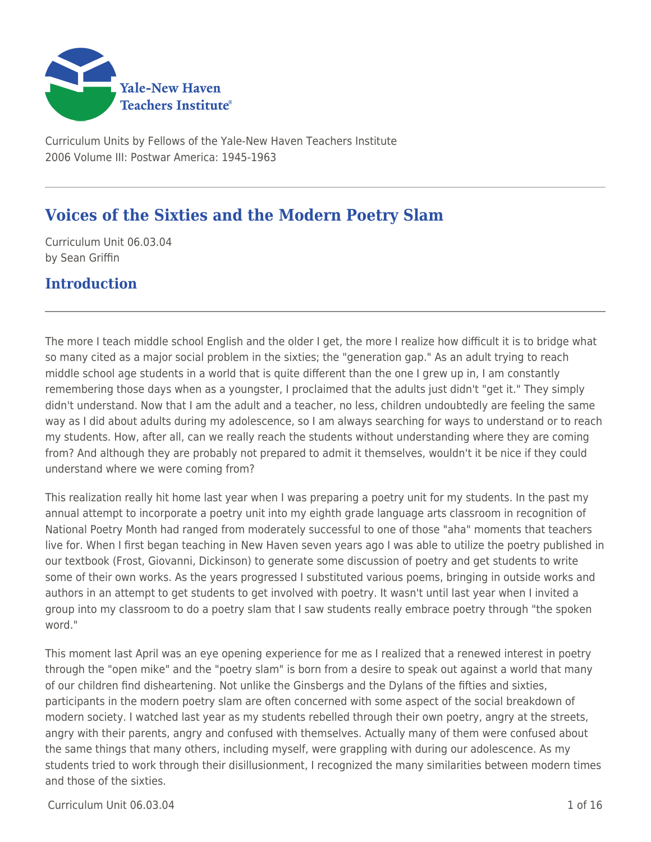

Curriculum Units by Fellows of the Yale-New Haven Teachers Institute 2006 Volume III: Postwar America: 1945-1963

# **Voices of the Sixties and the Modern Poetry Slam**

Curriculum Unit 06.03.04 by Sean Griffin

## **Introduction**

The more I teach middle school English and the older I get, the more I realize how difficult it is to bridge what so many cited as a major social problem in the sixties; the "generation gap." As an adult trying to reach middle school age students in a world that is quite different than the one I grew up in, I am constantly remembering those days when as a youngster, I proclaimed that the adults just didn't "get it." They simply didn't understand. Now that I am the adult and a teacher, no less, children undoubtedly are feeling the same way as I did about adults during my adolescence, so I am always searching for ways to understand or to reach my students. How, after all, can we really reach the students without understanding where they are coming from? And although they are probably not prepared to admit it themselves, wouldn't it be nice if they could understand where we were coming from?

This realization really hit home last year when I was preparing a poetry unit for my students. In the past my annual attempt to incorporate a poetry unit into my eighth grade language arts classroom in recognition of National Poetry Month had ranged from moderately successful to one of those "aha" moments that teachers live for. When I first began teaching in New Haven seven years ago I was able to utilize the poetry published in our textbook (Frost, Giovanni, Dickinson) to generate some discussion of poetry and get students to write some of their own works. As the years progressed I substituted various poems, bringing in outside works and authors in an attempt to get students to get involved with poetry. It wasn't until last year when I invited a group into my classroom to do a poetry slam that I saw students really embrace poetry through "the spoken word."

This moment last April was an eye opening experience for me as I realized that a renewed interest in poetry through the "open mike" and the "poetry slam" is born from a desire to speak out against a world that many of our children find disheartening. Not unlike the Ginsbergs and the Dylans of the fifties and sixties, participants in the modern poetry slam are often concerned with some aspect of the social breakdown of modern society. I watched last year as my students rebelled through their own poetry, angry at the streets, angry with their parents, angry and confused with themselves. Actually many of them were confused about the same things that many others, including myself, were grappling with during our adolescence. As my students tried to work through their disillusionment, I recognized the many similarities between modern times and those of the sixties.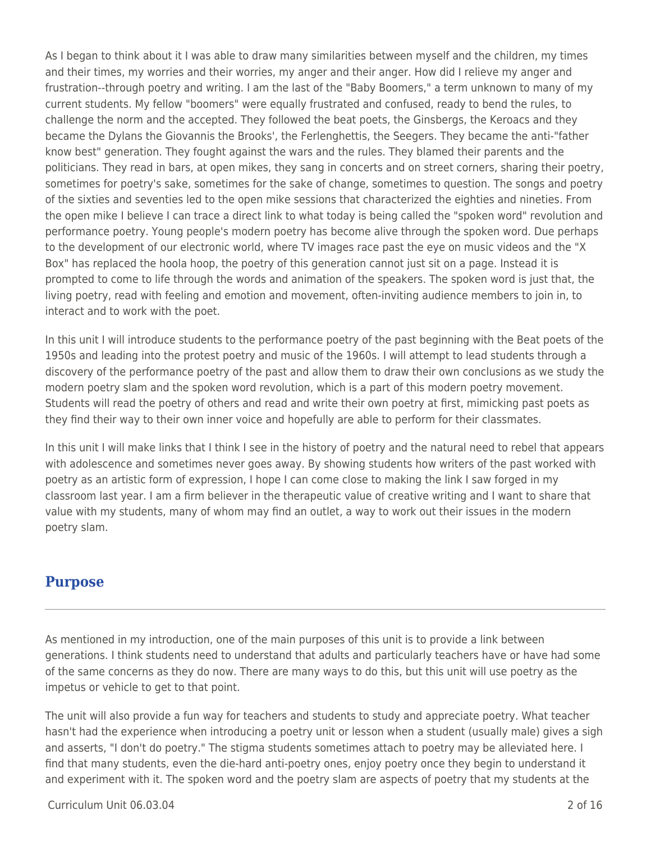As I began to think about it I was able to draw many similarities between myself and the children, my times and their times, my worries and their worries, my anger and their anger. How did I relieve my anger and frustration--through poetry and writing. I am the last of the "Baby Boomers," a term unknown to many of my current students. My fellow "boomers" were equally frustrated and confused, ready to bend the rules, to challenge the norm and the accepted. They followed the beat poets, the Ginsbergs, the Keroacs and they became the Dylans the Giovannis the Brooks', the Ferlenghettis, the Seegers. They became the anti-"father know best" generation. They fought against the wars and the rules. They blamed their parents and the politicians. They read in bars, at open mikes, they sang in concerts and on street corners, sharing their poetry, sometimes for poetry's sake, sometimes for the sake of change, sometimes to question. The songs and poetry of the sixties and seventies led to the open mike sessions that characterized the eighties and nineties. From the open mike I believe I can trace a direct link to what today is being called the "spoken word" revolution and performance poetry. Young people's modern poetry has become alive through the spoken word. Due perhaps to the development of our electronic world, where TV images race past the eye on music videos and the "X Box" has replaced the hoola hoop, the poetry of this generation cannot just sit on a page. Instead it is prompted to come to life through the words and animation of the speakers. The spoken word is just that, the living poetry, read with feeling and emotion and movement, often-inviting audience members to join in, to interact and to work with the poet.

In this unit I will introduce students to the performance poetry of the past beginning with the Beat poets of the 1950s and leading into the protest poetry and music of the 1960s. I will attempt to lead students through a discovery of the performance poetry of the past and allow them to draw their own conclusions as we study the modern poetry slam and the spoken word revolution, which is a part of this modern poetry movement. Students will read the poetry of others and read and write their own poetry at first, mimicking past poets as they find their way to their own inner voice and hopefully are able to perform for their classmates.

In this unit I will make links that I think I see in the history of poetry and the natural need to rebel that appears with adolescence and sometimes never goes away. By showing students how writers of the past worked with poetry as an artistic form of expression, I hope I can come close to making the link I saw forged in my classroom last year. I am a firm believer in the therapeutic value of creative writing and I want to share that value with my students, many of whom may find an outlet, a way to work out their issues in the modern poetry slam.

## **Purpose**

As mentioned in my introduction, one of the main purposes of this unit is to provide a link between generations. I think students need to understand that adults and particularly teachers have or have had some of the same concerns as they do now. There are many ways to do this, but this unit will use poetry as the impetus or vehicle to get to that point.

The unit will also provide a fun way for teachers and students to study and appreciate poetry. What teacher hasn't had the experience when introducing a poetry unit or lesson when a student (usually male) gives a sigh and asserts, "I don't do poetry." The stigma students sometimes attach to poetry may be alleviated here. I find that many students, even the die-hard anti-poetry ones, enjoy poetry once they begin to understand it and experiment with it. The spoken word and the poetry slam are aspects of poetry that my students at the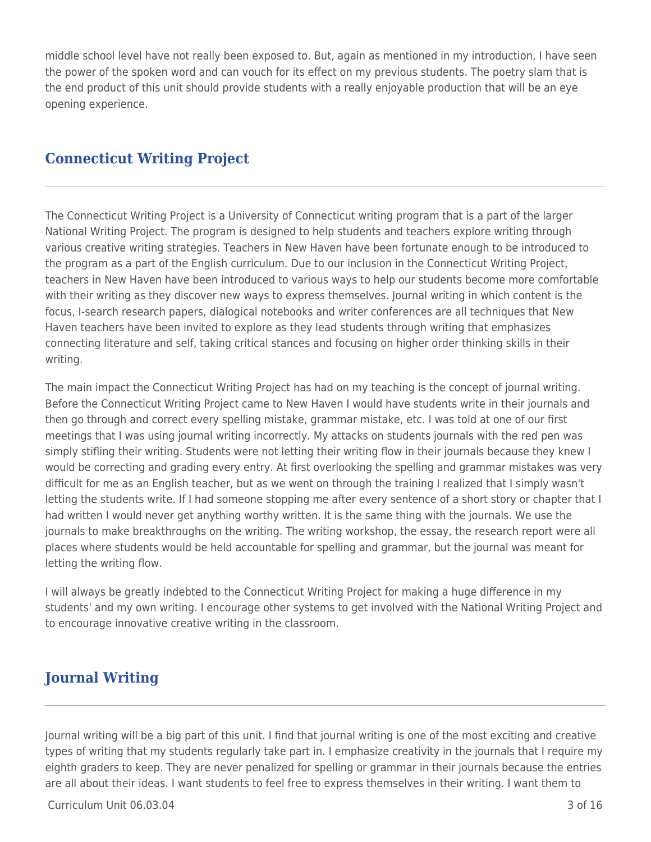middle school level have not really been exposed to. But, again as mentioned in my introduction, I have seen the power of the spoken word and can vouch for its effect on my previous students. The poetry slam that is the end product of this unit should provide students with a really enjoyable production that will be an eye opening experience.

## **Connecticut Writing Project**

The Connecticut Writing Project is a University of Connecticut writing program that is a part of the larger National Writing Project. The program is designed to help students and teachers explore writing through various creative writing strategies. Teachers in New Haven have been fortunate enough to be introduced to the program as a part of the English curriculum. Due to our inclusion in the Connecticut Writing Project, teachers in New Haven have been introduced to various ways to help our students become more comfortable with their writing as they discover new ways to express themselves. Journal writing in which content is the focus, I-search research papers, dialogical notebooks and writer conferences are all techniques that New Haven teachers have been invited to explore as they lead students through writing that emphasizes connecting literature and self, taking critical stances and focusing on higher order thinking skills in their writing.

The main impact the Connecticut Writing Project has had on my teaching is the concept of journal writing. Before the Connecticut Writing Project came to New Haven I would have students write in their journals and then go through and correct every spelling mistake, grammar mistake, etc. I was told at one of our first meetings that I was using journal writing incorrectly. My attacks on students journals with the red pen was simply stifling their writing. Students were not letting their writing flow in their journals because they knew I would be correcting and grading every entry. At first overlooking the spelling and grammar mistakes was very difficult for me as an English teacher, but as we went on through the training I realized that I simply wasn't letting the students write. If I had someone stopping me after every sentence of a short story or chapter that I had written I would never get anything worthy written. It is the same thing with the journals. We use the journals to make breakthroughs on the writing. The writing workshop, the essay, the research report were all places where students would be held accountable for spelling and grammar, but the journal was meant for letting the writing flow.

I will always be greatly indebted to the Connecticut Writing Project for making a huge difference in my students' and my own writing. I encourage other systems to get involved with the National Writing Project and to encourage innovative creative writing in the classroom.

## **Journal Writing**

Journal writing will be a big part of this unit. I find that journal writing is one of the most exciting and creative types of writing that my students regularly take part in. I emphasize creativity in the journals that I require my eighth graders to keep. They are never penalized for spelling or grammar in their journals because the entries are all about their ideas. I want students to feel free to express themselves in their writing. I want them to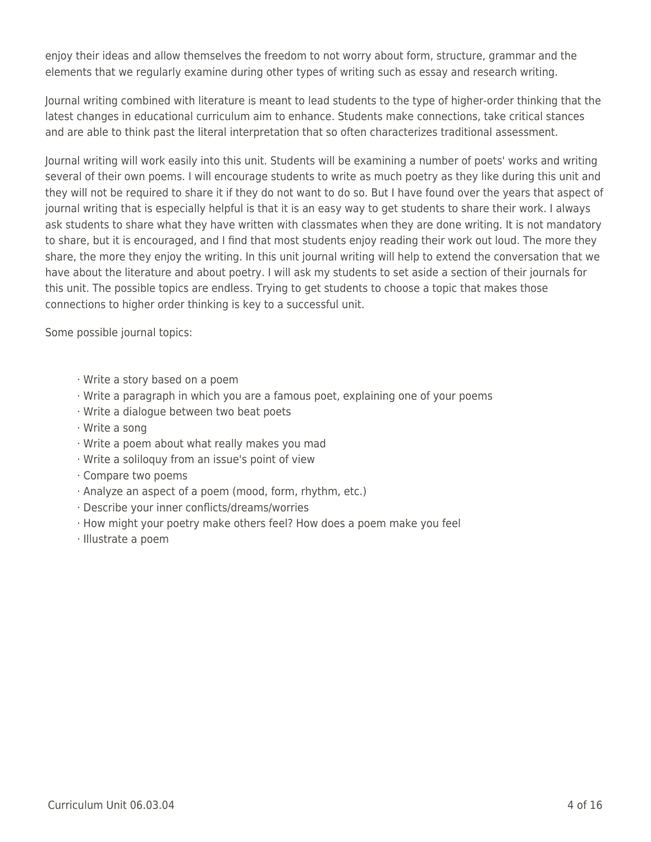enjoy their ideas and allow themselves the freedom to not worry about form, structure, grammar and the elements that we regularly examine during other types of writing such as essay and research writing.

Journal writing combined with literature is meant to lead students to the type of higher-order thinking that the latest changes in educational curriculum aim to enhance. Students make connections, take critical stances and are able to think past the literal interpretation that so often characterizes traditional assessment.

Journal writing will work easily into this unit. Students will be examining a number of poets' works and writing several of their own poems. I will encourage students to write as much poetry as they like during this unit and they will not be required to share it if they do not want to do so. But I have found over the years that aspect of journal writing that is especially helpful is that it is an easy way to get students to share their work. I always ask students to share what they have written with classmates when they are done writing. It is not mandatory to share, but it is encouraged, and I find that most students enjoy reading their work out loud. The more they share, the more they enjoy the writing. In this unit journal writing will help to extend the conversation that we have about the literature and about poetry. I will ask my students to set aside a section of their journals for this unit. The possible topics are endless. Trying to get students to choose a topic that makes those connections to higher order thinking is key to a successful unit.

Some possible journal topics:

- · Write a story based on a poem
- · Write a paragraph in which you are a famous poet, explaining one of your poems
- · Write a dialogue between two beat poets
- · Write a song
- · Write a poem about what really makes you mad
- · Write a soliloquy from an issue's point of view
- · Compare two poems
- · Analyze an aspect of a poem (mood, form, rhythm, etc.)
- · Describe your inner conflicts/dreams/worries
- · How might your poetry make others feel? How does a poem make you feel
- · Illustrate a poem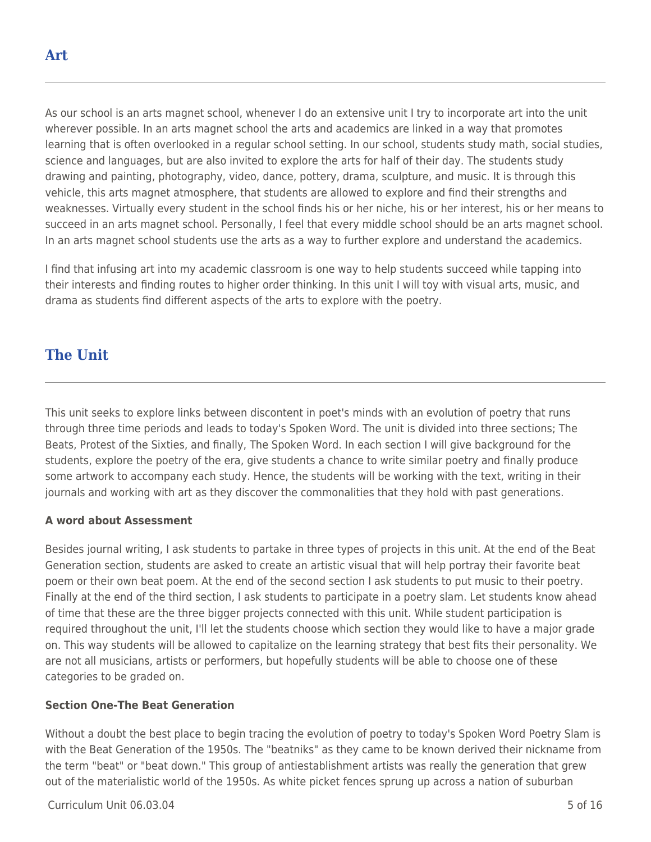As our school is an arts magnet school, whenever I do an extensive unit I try to incorporate art into the unit wherever possible. In an arts magnet school the arts and academics are linked in a way that promotes learning that is often overlooked in a regular school setting. In our school, students study math, social studies, science and languages, but are also invited to explore the arts for half of their day. The students study drawing and painting, photography, video, dance, pottery, drama, sculpture, and music. It is through this vehicle, this arts magnet atmosphere, that students are allowed to explore and find their strengths and weaknesses. Virtually every student in the school finds his or her niche, his or her interest, his or her means to succeed in an arts magnet school. Personally, I feel that every middle school should be an arts magnet school. In an arts magnet school students use the arts as a way to further explore and understand the academics.

I find that infusing art into my academic classroom is one way to help students succeed while tapping into their interests and finding routes to higher order thinking. In this unit I will toy with visual arts, music, and drama as students find different aspects of the arts to explore with the poetry.

## **The Unit**

This unit seeks to explore links between discontent in poet's minds with an evolution of poetry that runs through three time periods and leads to today's Spoken Word. The unit is divided into three sections; The Beats, Protest of the Sixties, and finally, The Spoken Word. In each section I will give background for the students, explore the poetry of the era, give students a chance to write similar poetry and finally produce some artwork to accompany each study. Hence, the students will be working with the text, writing in their journals and working with art as they discover the commonalities that they hold with past generations.

## **A word about Assessment**

Besides journal writing, I ask students to partake in three types of projects in this unit. At the end of the Beat Generation section, students are asked to create an artistic visual that will help portray their favorite beat poem or their own beat poem. At the end of the second section I ask students to put music to their poetry. Finally at the end of the third section, I ask students to participate in a poetry slam. Let students know ahead of time that these are the three bigger projects connected with this unit. While student participation is required throughout the unit, I'll let the students choose which section they would like to have a major grade on. This way students will be allowed to capitalize on the learning strategy that best fits their personality. We are not all musicians, artists or performers, but hopefully students will be able to choose one of these categories to be graded on.

## **Section One-The Beat Generation**

Without a doubt the best place to begin tracing the evolution of poetry to today's Spoken Word Poetry Slam is with the Beat Generation of the 1950s. The "beatniks" as they came to be known derived their nickname from the term "beat" or "beat down." This group of antiestablishment artists was really the generation that grew out of the materialistic world of the 1950s. As white picket fences sprung up across a nation of suburban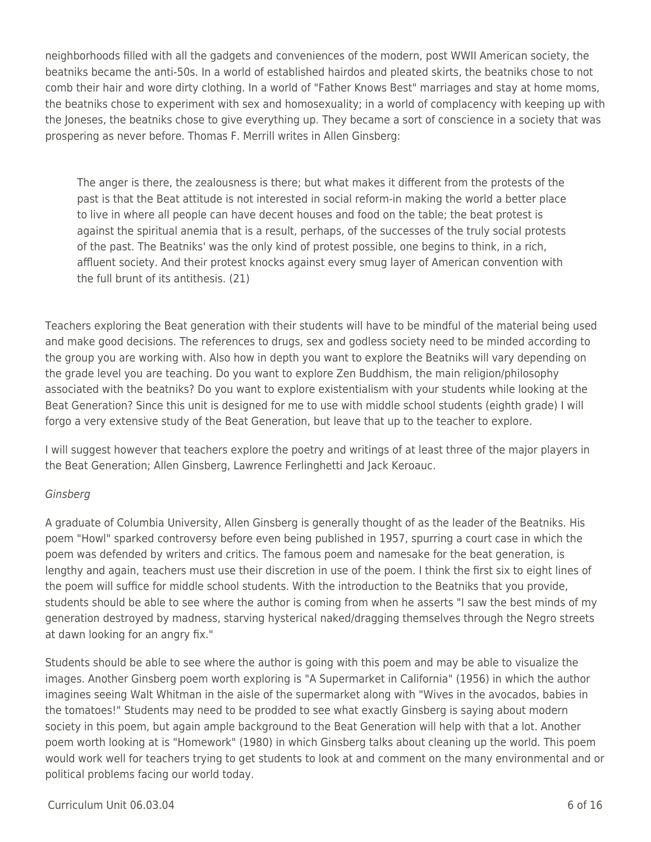neighborhoods filled with all the gadgets and conveniences of the modern, post WWII American society, the beatniks became the anti-50s. In a world of established hairdos and pleated skirts, the beatniks chose to not comb their hair and wore dirty clothing. In a world of "Father Knows Best" marriages and stay at home moms, the beatniks chose to experiment with sex and homosexuality; in a world of complacency with keeping up with the Joneses, the beatniks chose to give everything up. They became a sort of conscience in a society that was prospering as never before. Thomas F. Merrill writes in Allen Ginsberg:

The anger is there, the zealousness is there; but what makes it different from the protests of the past is that the Beat attitude is not interested in social reform-in making the world a better place to live in where all people can have decent houses and food on the table; the beat protest is against the spiritual anemia that is a result, perhaps, of the successes of the truly social protests of the past. The Beatniks' was the only kind of protest possible, one begins to think, in a rich, affluent society. And their protest knocks against every smug layer of American convention with the full brunt of its antithesis. (21)

Teachers exploring the Beat generation with their students will have to be mindful of the material being used and make good decisions. The references to drugs, sex and godless society need to be minded according to the group you are working with. Also how in depth you want to explore the Beatniks will vary depending on the grade level you are teaching. Do you want to explore Zen Buddhism, the main religion/philosophy associated with the beatniks? Do you want to explore existentialism with your students while looking at the Beat Generation? Since this unit is designed for me to use with middle school students (eighth grade) I will forgo a very extensive study of the Beat Generation, but leave that up to the teacher to explore.

I will suggest however that teachers explore the poetry and writings of at least three of the major players in the Beat Generation; Allen Ginsberg, Lawrence Ferlinghetti and Jack Keroauc.

## **Ginsberg**

A graduate of Columbia University, Allen Ginsberg is generally thought of as the leader of the Beatniks. His poem "Howl" sparked controversy before even being published in 1957, spurring a court case in which the poem was defended by writers and critics. The famous poem and namesake for the beat generation, is lengthy and again, teachers must use their discretion in use of the poem. I think the first six to eight lines of the poem will suffice for middle school students. With the introduction to the Beatniks that you provide, students should be able to see where the author is coming from when he asserts "I saw the best minds of my generation destroyed by madness, starving hysterical naked/dragging themselves through the Negro streets at dawn looking for an angry fix."

Students should be able to see where the author is going with this poem and may be able to visualize the images. Another Ginsberg poem worth exploring is "A Supermarket in California" (1956) in which the author imagines seeing Walt Whitman in the aisle of the supermarket along with "Wives in the avocados, babies in the tomatoes!" Students may need to be prodded to see what exactly Ginsberg is saying about modern society in this poem, but again ample background to the Beat Generation will help with that a lot. Another poem worth looking at is "Homework" (1980) in which Ginsberg talks about cleaning up the world. This poem would work well for teachers trying to get students to look at and comment on the many environmental and or political problems facing our world today.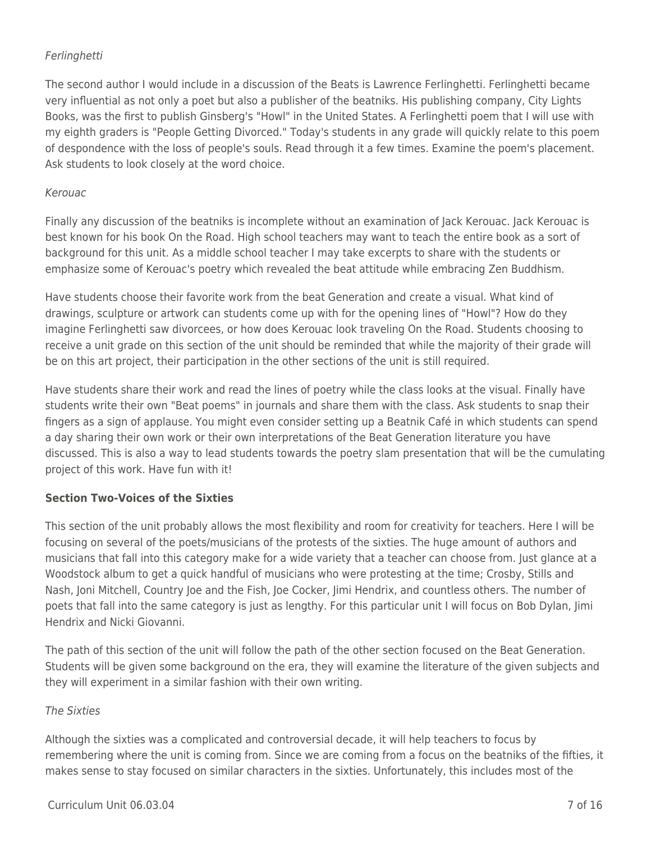## Ferlinghetti

The second author I would include in a discussion of the Beats is Lawrence Ferlinghetti. Ferlinghetti became very influential as not only a poet but also a publisher of the beatniks. His publishing company, City Lights Books, was the first to publish Ginsberg's "Howl" in the United States. A Ferlinghetti poem that I will use with my eighth graders is "People Getting Divorced." Today's students in any grade will quickly relate to this poem of despondence with the loss of people's souls. Read through it a few times. Examine the poem's placement. Ask students to look closely at the word choice.

## Kerouac

Finally any discussion of the beatniks is incomplete without an examination of Jack Kerouac. Jack Kerouac is best known for his book On the Road. High school teachers may want to teach the entire book as a sort of background for this unit. As a middle school teacher I may take excerpts to share with the students or emphasize some of Kerouac's poetry which revealed the beat attitude while embracing Zen Buddhism.

Have students choose their favorite work from the beat Generation and create a visual. What kind of drawings, sculpture or artwork can students come up with for the opening lines of "Howl"? How do they imagine Ferlinghetti saw divorcees, or how does Kerouac look traveling On the Road. Students choosing to receive a unit grade on this section of the unit should be reminded that while the majority of their grade will be on this art project, their participation in the other sections of the unit is still required.

Have students share their work and read the lines of poetry while the class looks at the visual. Finally have students write their own "Beat poems" in journals and share them with the class. Ask students to snap their fingers as a sign of applause. You might even consider setting up a Beatnik Café in which students can spend a day sharing their own work or their own interpretations of the Beat Generation literature you have discussed. This is also a way to lead students towards the poetry slam presentation that will be the cumulating project of this work. Have fun with it!

## **Section Two-Voices of the Sixties**

This section of the unit probably allows the most flexibility and room for creativity for teachers. Here I will be focusing on several of the poets/musicians of the protests of the sixties. The huge amount of authors and musicians that fall into this category make for a wide variety that a teacher can choose from. Just glance at a Woodstock album to get a quick handful of musicians who were protesting at the time; Crosby, Stills and Nash, Joni Mitchell, Country Joe and the Fish, Joe Cocker, Jimi Hendrix, and countless others. The number of poets that fall into the same category is just as lengthy. For this particular unit I will focus on Bob Dylan, Jimi Hendrix and Nicki Giovanni.

The path of this section of the unit will follow the path of the other section focused on the Beat Generation. Students will be given some background on the era, they will examine the literature of the given subjects and they will experiment in a similar fashion with their own writing.

## The Sixties

Although the sixties was a complicated and controversial decade, it will help teachers to focus by remembering where the unit is coming from. Since we are coming from a focus on the beatniks of the fifties, it makes sense to stay focused on similar characters in the sixties. Unfortunately, this includes most of the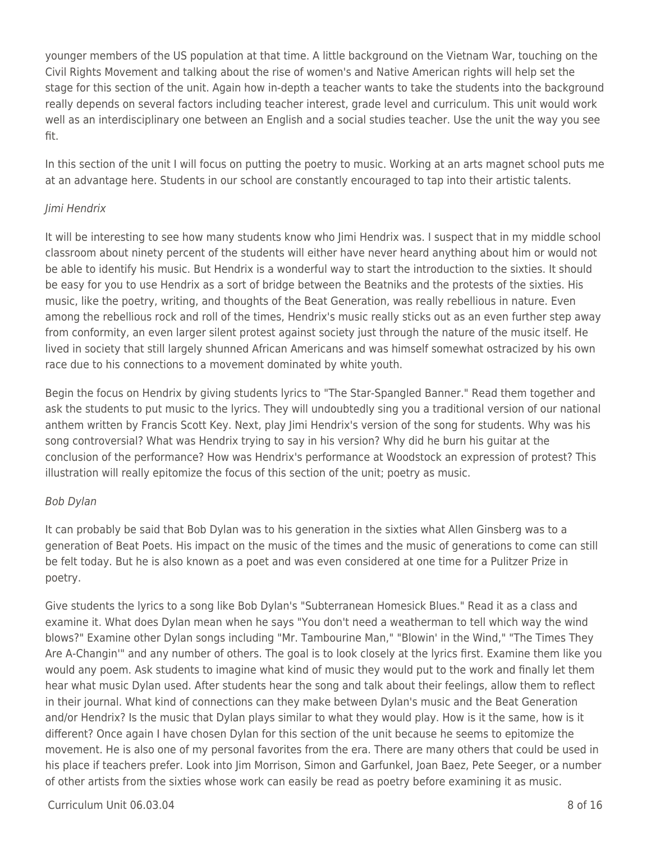younger members of the US population at that time. A little background on the Vietnam War, touching on the Civil Rights Movement and talking about the rise of women's and Native American rights will help set the stage for this section of the unit. Again how in-depth a teacher wants to take the students into the background really depends on several factors including teacher interest, grade level and curriculum. This unit would work well as an interdisciplinary one between an English and a social studies teacher. Use the unit the way you see fit.

In this section of the unit I will focus on putting the poetry to music. Working at an arts magnet school puts me at an advantage here. Students in our school are constantly encouraged to tap into their artistic talents.

### Jimi Hendrix

It will be interesting to see how many students know who Jimi Hendrix was. I suspect that in my middle school classroom about ninety percent of the students will either have never heard anything about him or would not be able to identify his music. But Hendrix is a wonderful way to start the introduction to the sixties. It should be easy for you to use Hendrix as a sort of bridge between the Beatniks and the protests of the sixties. His music, like the poetry, writing, and thoughts of the Beat Generation, was really rebellious in nature. Even among the rebellious rock and roll of the times, Hendrix's music really sticks out as an even further step away from conformity, an even larger silent protest against society just through the nature of the music itself. He lived in society that still largely shunned African Americans and was himself somewhat ostracized by his own race due to his connections to a movement dominated by white youth.

Begin the focus on Hendrix by giving students lyrics to "The Star-Spangled Banner." Read them together and ask the students to put music to the lyrics. They will undoubtedly sing you a traditional version of our national anthem written by Francis Scott Key. Next, play Jimi Hendrix's version of the song for students. Why was his song controversial? What was Hendrix trying to say in his version? Why did he burn his guitar at the conclusion of the performance? How was Hendrix's performance at Woodstock an expression of protest? This illustration will really epitomize the focus of this section of the unit; poetry as music.

## Bob Dylan

It can probably be said that Bob Dylan was to his generation in the sixties what Allen Ginsberg was to a generation of Beat Poets. His impact on the music of the times and the music of generations to come can still be felt today. But he is also known as a poet and was even considered at one time for a Pulitzer Prize in poetry.

Give students the lyrics to a song like Bob Dylan's "Subterranean Homesick Blues." Read it as a class and examine it. What does Dylan mean when he says "You don't need a weatherman to tell which way the wind blows?" Examine other Dylan songs including "Mr. Tambourine Man," "Blowin' in the Wind," "The Times They Are A-Changin'" and any number of others. The goal is to look closely at the lyrics first. Examine them like you would any poem. Ask students to imagine what kind of music they would put to the work and finally let them hear what music Dylan used. After students hear the song and talk about their feelings, allow them to reflect in their journal. What kind of connections can they make between Dylan's music and the Beat Generation and/or Hendrix? Is the music that Dylan plays similar to what they would play. How is it the same, how is it different? Once again I have chosen Dylan for this section of the unit because he seems to epitomize the movement. He is also one of my personal favorites from the era. There are many others that could be used in his place if teachers prefer. Look into Jim Morrison, Simon and Garfunkel, Joan Baez, Pete Seeger, or a number of other artists from the sixties whose work can easily be read as poetry before examining it as music.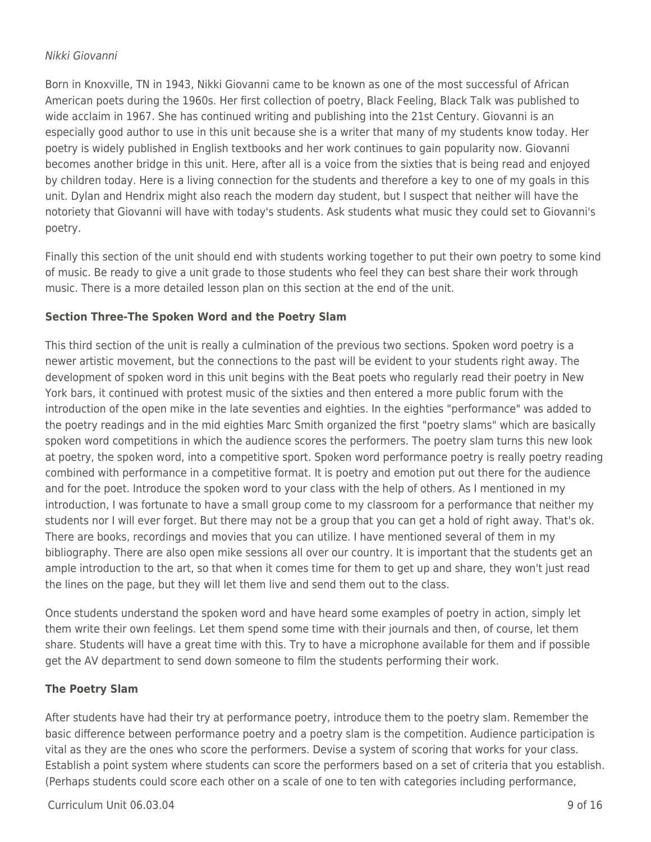#### Nikki Giovanni

Born in Knoxville, TN in 1943, Nikki Giovanni came to be known as one of the most successful of African American poets during the 1960s. Her first collection of poetry, Black Feeling, Black Talk was published to wide acclaim in 1967. She has continued writing and publishing into the 21st Century. Giovanni is an especially good author to use in this unit because she is a writer that many of my students know today. Her poetry is widely published in English textbooks and her work continues to gain popularity now. Giovanni becomes another bridge in this unit. Here, after all is a voice from the sixties that is being read and enjoyed by children today. Here is a living connection for the students and therefore a key to one of my goals in this unit. Dylan and Hendrix might also reach the modern day student, but I suspect that neither will have the notoriety that Giovanni will have with today's students. Ask students what music they could set to Giovanni's poetry.

Finally this section of the unit should end with students working together to put their own poetry to some kind of music. Be ready to give a unit grade to those students who feel they can best share their work through music. There is a more detailed lesson plan on this section at the end of the unit.

## **Section Three-The Spoken Word and the Poetry Slam**

This third section of the unit is really a culmination of the previous two sections. Spoken word poetry is a newer artistic movement, but the connections to the past will be evident to your students right away. The development of spoken word in this unit begins with the Beat poets who regularly read their poetry in New York bars, it continued with protest music of the sixties and then entered a more public forum with the introduction of the open mike in the late seventies and eighties. In the eighties "performance" was added to the poetry readings and in the mid eighties Marc Smith organized the first "poetry slams" which are basically spoken word competitions in which the audience scores the performers. The poetry slam turns this new look at poetry, the spoken word, into a competitive sport. Spoken word performance poetry is really poetry reading combined with performance in a competitive format. It is poetry and emotion put out there for the audience and for the poet. Introduce the spoken word to your class with the help of others. As I mentioned in my introduction, I was fortunate to have a small group come to my classroom for a performance that neither my students nor I will ever forget. But there may not be a group that you can get a hold of right away. That's ok. There are books, recordings and movies that you can utilize. I have mentioned several of them in my bibliography. There are also open mike sessions all over our country. It is important that the students get an ample introduction to the art, so that when it comes time for them to get up and share, they won't just read the lines on the page, but they will let them live and send them out to the class.

Once students understand the spoken word and have heard some examples of poetry in action, simply let them write their own feelings. Let them spend some time with their journals and then, of course, let them share. Students will have a great time with this. Try to have a microphone available for them and if possible get the AV department to send down someone to film the students performing their work.

## **The Poetry Slam**

After students have had their try at performance poetry, introduce them to the poetry slam. Remember the basic difference between performance poetry and a poetry slam is the competition. Audience participation is vital as they are the ones who score the performers. Devise a system of scoring that works for your class. Establish a point system where students can score the performers based on a set of criteria that you establish. (Perhaps students could score each other on a scale of one to ten with categories including performance,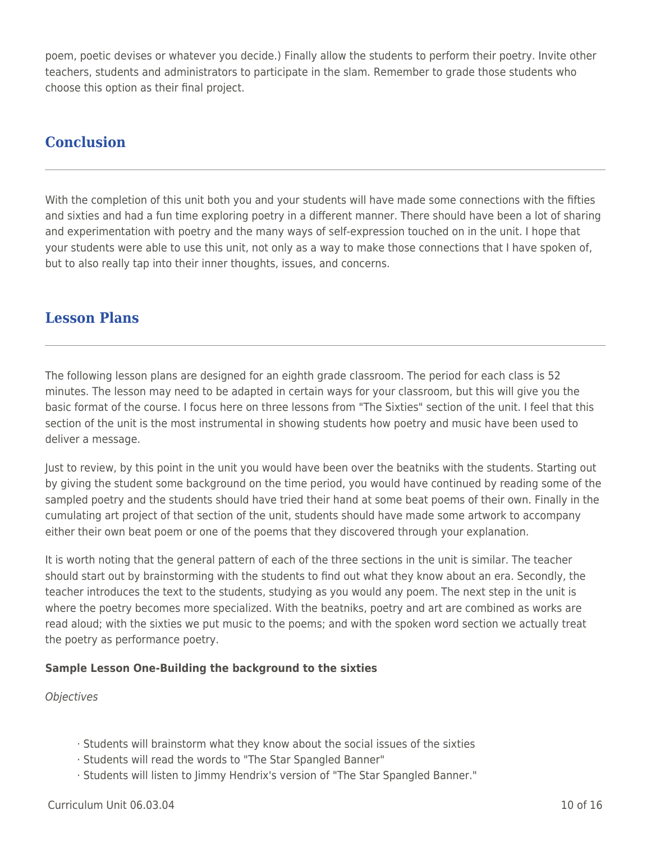poem, poetic devises or whatever you decide.) Finally allow the students to perform their poetry. Invite other teachers, students and administrators to participate in the slam. Remember to grade those students who choose this option as their final project.

## **Conclusion**

With the completion of this unit both you and your students will have made some connections with the fifties and sixties and had a fun time exploring poetry in a different manner. There should have been a lot of sharing and experimentation with poetry and the many ways of self-expression touched on in the unit. I hope that your students were able to use this unit, not only as a way to make those connections that I have spoken of, but to also really tap into their inner thoughts, issues, and concerns.

## **Lesson Plans**

The following lesson plans are designed for an eighth grade classroom. The period for each class is 52 minutes. The lesson may need to be adapted in certain ways for your classroom, but this will give you the basic format of the course. I focus here on three lessons from "The Sixties" section of the unit. I feel that this section of the unit is the most instrumental in showing students how poetry and music have been used to deliver a message.

Just to review, by this point in the unit you would have been over the beatniks with the students. Starting out by giving the student some background on the time period, you would have continued by reading some of the sampled poetry and the students should have tried their hand at some beat poems of their own. Finally in the cumulating art project of that section of the unit, students should have made some artwork to accompany either their own beat poem or one of the poems that they discovered through your explanation.

It is worth noting that the general pattern of each of the three sections in the unit is similar. The teacher should start out by brainstorming with the students to find out what they know about an era. Secondly, the teacher introduces the text to the students, studying as you would any poem. The next step in the unit is where the poetry becomes more specialized. With the beatniks, poetry and art are combined as works are read aloud; with the sixties we put music to the poems; and with the spoken word section we actually treat the poetry as performance poetry.

## **Sample Lesson One-Building the background to the sixties**

**Objectives** 

- · Students will brainstorm what they know about the social issues of the sixties
- · Students will read the words to "The Star Spangled Banner"
- · Students will listen to Jimmy Hendrix's version of "The Star Spangled Banner."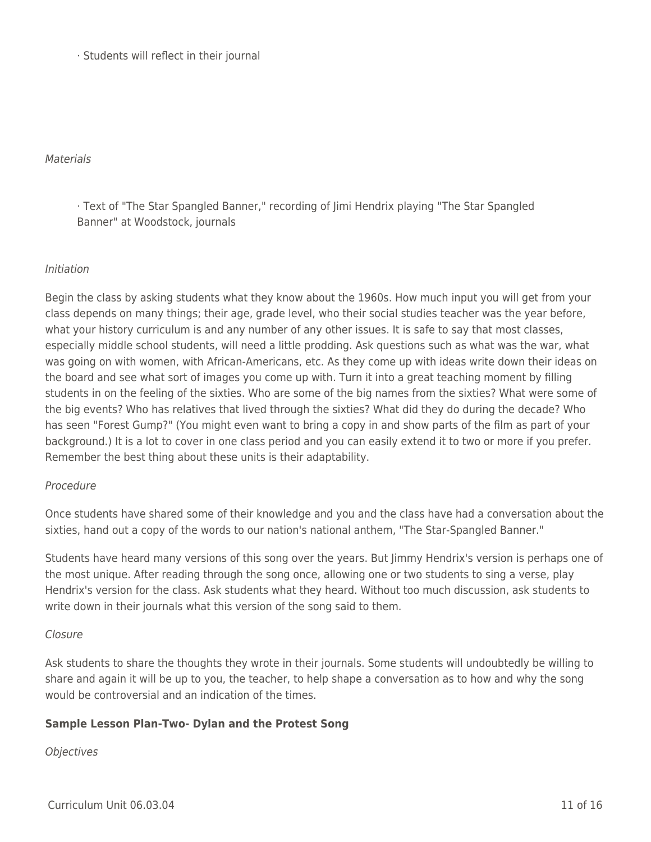· Students will reflect in their journal

#### **Materials**

· Text of "The Star Spangled Banner," recording of Jimi Hendrix playing "The Star Spangled Banner" at Woodstock, journals

## Initiation

Begin the class by asking students what they know about the 1960s. How much input you will get from your class depends on many things; their age, grade level, who their social studies teacher was the year before, what your history curriculum is and any number of any other issues. It is safe to say that most classes, especially middle school students, will need a little prodding. Ask questions such as what was the war, what was going on with women, with African-Americans, etc. As they come up with ideas write down their ideas on the board and see what sort of images you come up with. Turn it into a great teaching moment by filling students in on the feeling of the sixties. Who are some of the big names from the sixties? What were some of the big events? Who has relatives that lived through the sixties? What did they do during the decade? Who has seen "Forest Gump?" (You might even want to bring a copy in and show parts of the film as part of your background.) It is a lot to cover in one class period and you can easily extend it to two or more if you prefer. Remember the best thing about these units is their adaptability.

#### Procedure

Once students have shared some of their knowledge and you and the class have had a conversation about the sixties, hand out a copy of the words to our nation's national anthem, "The Star-Spangled Banner."

Students have heard many versions of this song over the years. But Jimmy Hendrix's version is perhaps one of the most unique. After reading through the song once, allowing one or two students to sing a verse, play Hendrix's version for the class. Ask students what they heard. Without too much discussion, ask students to write down in their journals what this version of the song said to them.

#### Closure

Ask students to share the thoughts they wrote in their journals. Some students will undoubtedly be willing to share and again it will be up to you, the teacher, to help shape a conversation as to how and why the song would be controversial and an indication of the times.

## **Sample Lesson Plan-Two- Dylan and the Protest Song**

## **Objectives**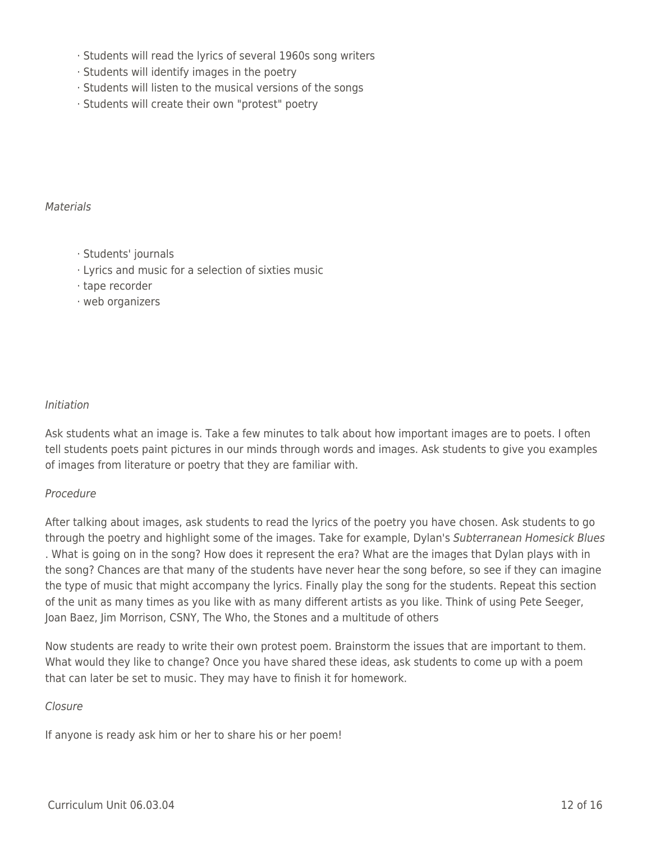- · Students will read the lyrics of several 1960s song writers
- · Students will identify images in the poetry
- · Students will listen to the musical versions of the songs
- · Students will create their own "protest" poetry

#### **Materials**

- · Students' journals
- · Lyrics and music for a selection of sixties music
- · tape recorder
- · web organizers

### Initiation

Ask students what an image is. Take a few minutes to talk about how important images are to poets. I often tell students poets paint pictures in our minds through words and images. Ask students to give you examples of images from literature or poetry that they are familiar with.

#### Procedure

After talking about images, ask students to read the lyrics of the poetry you have chosen. Ask students to go through the poetry and highlight some of the images. Take for example, Dylan's Subterranean Homesick Blues . What is going on in the song? How does it represent the era? What are the images that Dylan plays with in the song? Chances are that many of the students have never hear the song before, so see if they can imagine the type of music that might accompany the lyrics. Finally play the song for the students. Repeat this section of the unit as many times as you like with as many different artists as you like. Think of using Pete Seeger, Joan Baez, Jim Morrison, CSNY, The Who, the Stones and a multitude of others

Now students are ready to write their own protest poem. Brainstorm the issues that are important to them. What would they like to change? Once you have shared these ideas, ask students to come up with a poem that can later be set to music. They may have to finish it for homework.

#### Closure

If anyone is ready ask him or her to share his or her poem!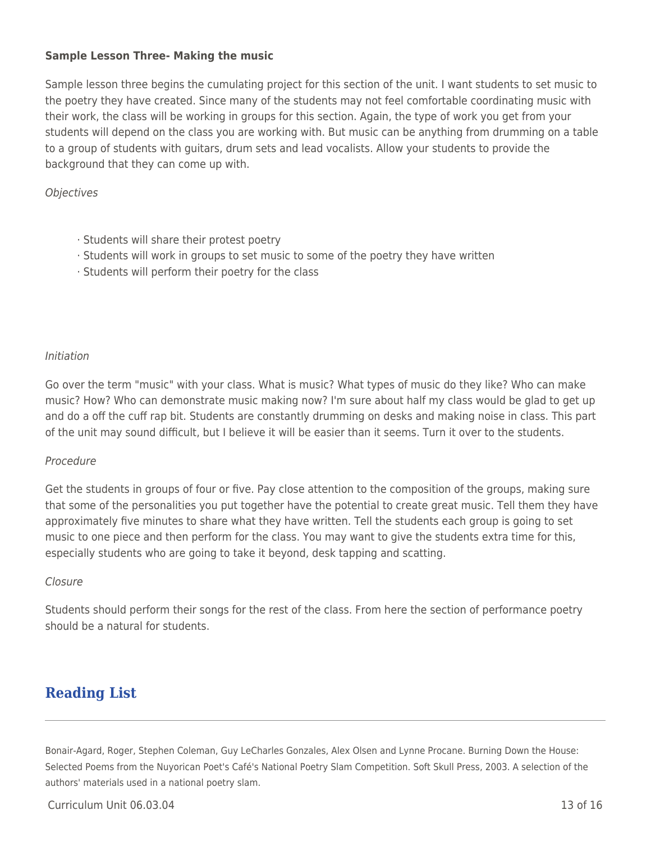### **Sample Lesson Three- Making the music**

Sample lesson three begins the cumulating project for this section of the unit. I want students to set music to the poetry they have created. Since many of the students may not feel comfortable coordinating music with their work, the class will be working in groups for this section. Again, the type of work you get from your students will depend on the class you are working with. But music can be anything from drumming on a table to a group of students with guitars, drum sets and lead vocalists. Allow your students to provide the background that they can come up with.

#### **Objectives**

- · Students will share their protest poetry
- · Students will work in groups to set music to some of the poetry they have written
- · Students will perform their poetry for the class

#### Initiation

Go over the term "music" with your class. What is music? What types of music do they like? Who can make music? How? Who can demonstrate music making now? I'm sure about half my class would be glad to get up and do a off the cuff rap bit. Students are constantly drumming on desks and making noise in class. This part of the unit may sound difficult, but I believe it will be easier than it seems. Turn it over to the students.

#### Procedure

Get the students in groups of four or five. Pay close attention to the composition of the groups, making sure that some of the personalities you put together have the potential to create great music. Tell them they have approximately five minutes to share what they have written. Tell the students each group is going to set music to one piece and then perform for the class. You may want to give the students extra time for this, especially students who are going to take it beyond, desk tapping and scatting.

#### Closure

Students should perform their songs for the rest of the class. From here the section of performance poetry should be a natural for students.

## **Reading List**

Bonair-Agard, Roger, Stephen Coleman, Guy LeCharles Gonzales, Alex Olsen and Lynne Procane. Burning Down the House: Selected Poems from the Nuyorican Poet's Café's National Poetry Slam Competition. Soft Skull Press, 2003. A selection of the authors' materials used in a national poetry slam.

 $Curir$ iulum Unit 06.03.04  $\qquad$  13 of 16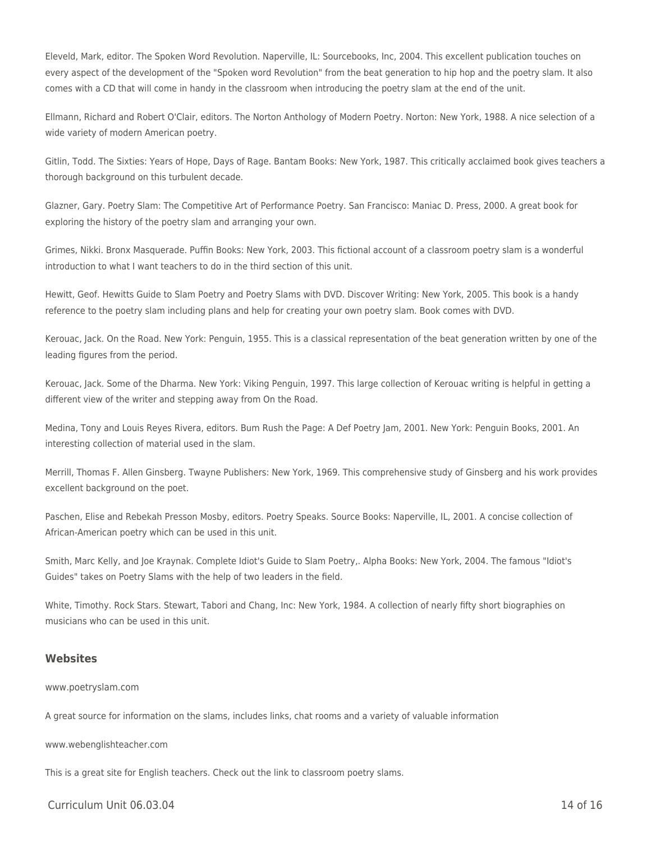Eleveld, Mark, editor. The Spoken Word Revolution. Naperville, IL: Sourcebooks, Inc, 2004. This excellent publication touches on every aspect of the development of the "Spoken word Revolution" from the beat generation to hip hop and the poetry slam. It also comes with a CD that will come in handy in the classroom when introducing the poetry slam at the end of the unit.

Ellmann, Richard and Robert O'Clair, editors. The Norton Anthology of Modern Poetry. Norton: New York, 1988. A nice selection of a wide variety of modern American poetry.

Gitlin, Todd. The Sixties: Years of Hope, Days of Rage. Bantam Books: New York, 1987. This critically acclaimed book gives teachers a thorough background on this turbulent decade.

Glazner, Gary. Poetry Slam: The Competitive Art of Performance Poetry. San Francisco: Maniac D. Press, 2000. A great book for exploring the history of the poetry slam and arranging your own.

Grimes, Nikki. Bronx Masquerade. Puffin Books: New York, 2003. This fictional account of a classroom poetry slam is a wonderful introduction to what I want teachers to do in the third section of this unit.

Hewitt, Geof. Hewitts Guide to Slam Poetry and Poetry Slams with DVD. Discover Writing: New York, 2005. This book is a handy reference to the poetry slam including plans and help for creating your own poetry slam. Book comes with DVD.

Kerouac, Jack. On the Road. New York: Penguin, 1955. This is a classical representation of the beat generation written by one of the leading figures from the period.

Kerouac, Jack. Some of the Dharma. New York: Viking Penguin, 1997. This large collection of Kerouac writing is helpful in getting a different view of the writer and stepping away from On the Road.

Medina, Tony and Louis Reyes Rivera, editors. Bum Rush the Page: A Def Poetry Jam, 2001. New York: Penguin Books, 2001. An interesting collection of material used in the slam.

Merrill, Thomas F. Allen Ginsberg. Twayne Publishers: New York, 1969. This comprehensive study of Ginsberg and his work provides excellent background on the poet.

Paschen, Elise and Rebekah Presson Mosby, editors. Poetry Speaks. Source Books: Naperville, IL, 2001. A concise collection of African-American poetry which can be used in this unit.

Smith, Marc Kelly, and Joe Kraynak. Complete Idiot's Guide to Slam Poetry,. Alpha Books: New York, 2004. The famous "Idiot's Guides" takes on Poetry Slams with the help of two leaders in the field.

White, Timothy. Rock Stars. Stewart, Tabori and Chang, Inc: New York, 1984. A collection of nearly fifty short biographies on musicians who can be used in this unit.

#### **Websites**

#### www.poetryslam.com

A great source for information on the slams, includes links, chat rooms and a variety of valuable information

www.webenglishteacher.com

This is a great site for English teachers. Check out the link to classroom poetry slams.

 $Curir$ iulum Unit 06.03.04  $\qquad$  14 of 16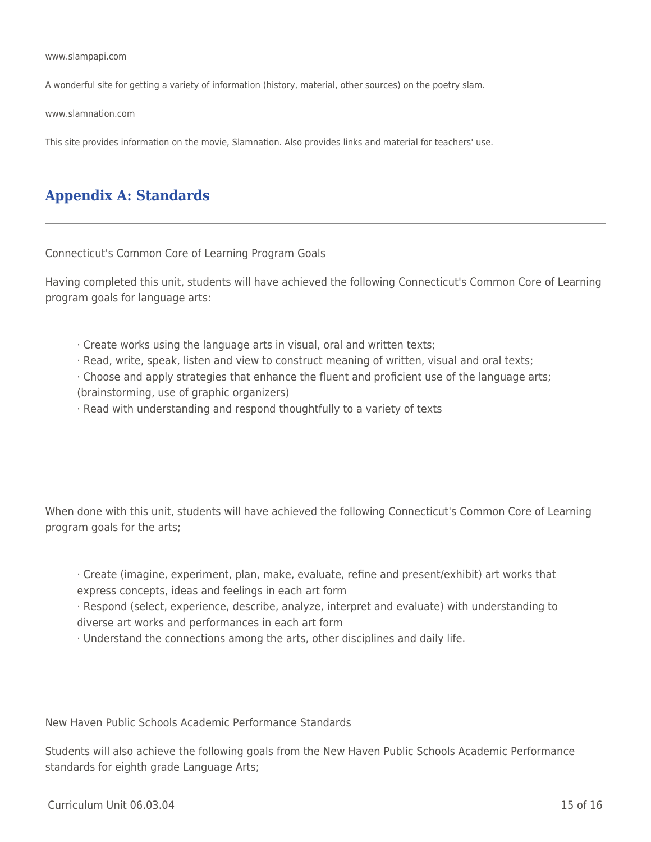www.slampapi.com

A wonderful site for getting a variety of information (history, material, other sources) on the poetry slam.

www.slamnation.com

This site provides information on the movie, Slamnation. Also provides links and material for teachers' use.

## **Appendix A: Standards**

Connecticut's Common Core of Learning Program Goals

Having completed this unit, students will have achieved the following Connecticut's Common Core of Learning program goals for language arts:

- · Create works using the language arts in visual, oral and written texts;
- · Read, write, speak, listen and view to construct meaning of written, visual and oral texts;
- · Choose and apply strategies that enhance the fluent and proficient use of the language arts; (brainstorming, use of graphic organizers)
- · Read with understanding and respond thoughtfully to a variety of texts

When done with this unit, students will have achieved the following Connecticut's Common Core of Learning program goals for the arts;

· Create (imagine, experiment, plan, make, evaluate, refine and present/exhibit) art works that express concepts, ideas and feelings in each art form

· Respond (select, experience, describe, analyze, interpret and evaluate) with understanding to diverse art works and performances in each art form

· Understand the connections among the arts, other disciplines and daily life.

New Haven Public Schools Academic Performance Standards

Students will also achieve the following goals from the New Haven Public Schools Academic Performance standards for eighth grade Language Arts;